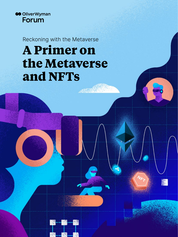

Reckoning with the Metaverse

# **A Primer on the Metaverse and NFTs**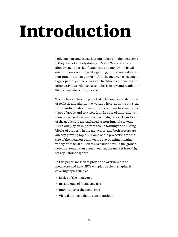# **Introduction**

Policymakers and executives must focus on the metaverse if they are not already doing so. Many "Metazens" are already spending significant time and money in virtual environments on things like gaming, virtual real estate, and non-fungible tokens, or NFTs.<sup>1</sup> As the metaverse becomes a bigger part of people's lives and livelihoods, financial and other activities will need a solid basis in law and regulation. Such a basis does not yet exist.

The metaverse has the potential to become a constellation of realistic and alternative worlds where, as in the physical world, individuals and institutions can purchase and sell all types of goods and services. It makes use of innovations in money: transactions are made with digital assets and some of the goods sold are packaged as non-fungible tokens. NFTs will play an important role in forming the building blocks of property in the metaverse, and both sectors are already growing rapidly.<sup>2</sup> Some of the projections for the size of the metaverse market are eye-opening, ranging widely from \$670 billion to \$13 trillion.3 While the growth potential remains an open question, the market is too big for regulators to ignore.

In this paper, we seek to provide an overview of the metaverse and how NFTs will play a role in shaping it, covering topics such as:

- Basics of the metaverse
- Ins and outs of metaverse use
- Importance of the metaverse
- Virtual property rights considerations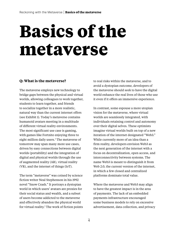# **Basics of the metaverse**

## **Q: What is the metaverse?**

The metaverse employs new technology to bridge gaps between the physical and virtual worlds, allowing colleagues to work together, students to learn together, and friends to socialize together in a more realistic, natural way than the current internet offers (see Exhibit 1). Today's metaverse contains humanoid avatars meeting in a multitude of different virtual reality environments. The most significant use case is gaming, with games like Fortnite enjoying three to eight million daily users.<sup>4</sup> The metaverse of tomorrow may span many more use cases, driven by easy connections between digital worlds (portability) and the integration of digital and physical worlds through the use of augmented reality (AR), virtual reality (VR), and the internet of things (IoT).

The term "metaverse" was coined by science fiction writer Neal Stephenson in his 1992 novel "Snow Crash." It portrays a dystopian world in which users' avatars are proxies for their social status and wealth, and a subset of users become addicted to the metaverse and effectively abandon the physical world for virtual reality.<sup>5</sup> The work of fiction points to real risks within the metaverse, and to avoid a dystopian outcome, developers of the metaverse should seek to have the digital world enhance the real lives of those who use it even if it offers an immersive experience.

In contrast, some espouse a more utopian vision for the metaverse, where virtual worlds are seamlessly integrated, with individuals retaining control and autonomy over their digital selves. These optimists imagine virtual worlds built on top of a new iteration of the internet designated "Web3." While currently more of an idea than a firm reality, developers envision Web3 as the next generation of the internet with a focus on decentralization, open access, and interconnectivity between systems. The name Web3 is meant to distinguish it from Web 2.0, the current version of the internet, in which a few closed and centralized platforms dominate total value.

Where the metaverse and Web3 may align to have the greatest impact is in the area of payments. The lack of an embedded payments infrastructure encouraged some business models to rely on excessive advertisement, data collection, and privacy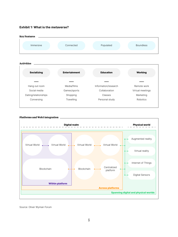#### **Exhibit 1: What is the metaverse?**





#### **Platforms and Web3 integration**

Source: Oliver Wyman Forum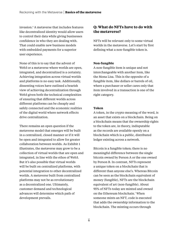invasion.6 A metaverse that includes features like decentralized identity would allow users to control their data while giving businesses confidence in who they are dealing with. That could enable new business models with embedded payments for a superior user experience.

None of this is to say that the advent of Web3 or a metaverse where worlds are open, integrated, and decentralized is a certainty. Achieving integration across virtual worlds and platforms is no easy task. Additionally, dissenting voices have outlined a bearish view of achieving decentralization through Web3 given both the technical complexities of ensuring that different worlds across different platforms can be cheaply and safely connected and the economic realities of the digital world where network effects drive centralization.

There remains an open question if the metaverse model that emerges will be built in a centralized, closed manner or if it will be open and integrated to allow for greater collaboration between worlds. As Exhibit 1 illustrates, the metaverse may grow to be a collection of virtual worlds that are open and integrated, in line with the ethos of Web3. But it's also possible that virtual worlds will be built on centralized platforms, with potential integration to other decentralized worlds. A metaverse built from centralized platforms may not be as revolutionary as a decentralized one. Ultimately, customer demand and technological advances will determine which path of development prevails.

# **Q: What do NFTs have to do with the metaverse?**

NFTs will be relevant only to some virtual worlds in the metaverse. Let's start by first defining what a non-fungible token is.

### **Non-fungible**

A non-fungible item is unique and not interchangeable with another item, like the Mona Lisa. This is the opposite of a fungible item, like dollars or barrels of oil, where a purchaser or seller cares only that item involved in a transaction is one of the right category.

### **Token**

A token, in the crypto meaning of the word, is an asset that exists on a blockchain. Being on a blockchain means that the ownership rights to the token are, in theory, indisputable as the records are available openly on a blockchain which is a public, distributed ledger existing across a network.

Bitcoin is a fungible token; there is no meaningful difference between the single bitcoin owned by Person A or the one owned by Person B. In contrast, NFTs represent a unique token on a blockchain that is different than anyone else's. Whereas Bitcoin can be seen as the blockchain equivalent of money (fungible), NFTs are the blockchain equivalent of art (non-fungible). About 95% of NFTs today are minted and owned on the Ethereum blockchain.7 When someone mints an NFT, code is executed that adds the ownership information to the blockchain. The minting occurs through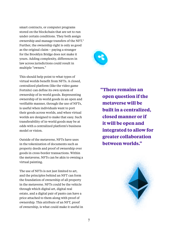smart contracts, or computer programs stored on the blockchain that are set to run under certain conditions. They both assign ownership and manage transfers of the NFT.<sup>8</sup> Further, the ownership right is only as good as the original claim – paying a stranger for the Brooklyn Bridge does not make it yours. Adding complexity, differences in law across jurisdictions could result in multiple "owners."

This should help point to what types of virtual worlds benefit from NFTs. A closed, centralized platform (like the video game Fortnite) can define its own system of ownership of in-world goods. Representing ownership of in-world goods in an open and verifiable manner, through the use of NFTs, is useful when individuals want to port their goods across worlds, and when virtual worlds are designed to make that easy. Such transferability of in-world goods may be at odds with a centralized platform's business model or vision.

Outside of the metaverse, NFTs have uses in the tokenization of documents such as property deeds and proof of ownership over goods in cross-border transactions. Within the metaverse, NFTs can be akin to owning a virtual painting.

The use of NFTs is not just limited to art, and the principles behind an NFT can form the foundation of ownership of all property in the metaverse. NFTs could be the vehicle through which digital art, digital real estate, and a digital pair of pants can have a price attached to them along with proof of ownership. This attribute of an NFT, proof of ownership, is what could make it useful in



**"There remains an open question if the metaverse will be built in a centralized, closed manner or if it will be open and integrated to allow for greater collaboration between worlds."**

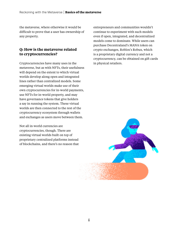the metaverse, where otherwise it would be difficult to prove that a user has ownership of any property.

# **Q: How is the metaverse related to cryptocurrencies?**

Cryptocurrencies have many uses in the metaverse, but as with NFTs, their usefulness will depend on the extent to which virtual worlds develop along open and integrated lines rather than centralized models. Some emerging virtual worlds make use of their own cryptocurrencies for in-world payments, use NFTs for in-world property, and may have governance tokens that give holders a say in running the system. These virtual worlds are then connected to the rest of the cryptocurrency ecosystem through wallets and exchanges as users move between them.

Not all in-world currencies are cryptocurrencies, though. There are existing virtual worlds built on top of proprietary centralized platforms instead of blockchains, and there's no reason that entrepreneurs and communities wouldn't continue to experiment with such models even if open, integrated, and decentralized models come to dominate. While users can purchase Decentraland's MANA token on crypto exchanges, Roblox's Robux, which is a proprietary digital currency and not a cryptocurrency, can be obtained on gift cards in physical retailers.

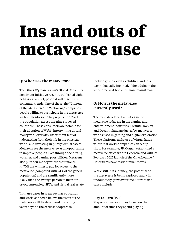# **Ins and outs of metaverse use**

### **Q: Who uses the metaverse?**

The Oliver Wyman Forum's Global Consumer Sentiment initiative recently published eight behavioral archetypes that will drive future consumer trends. One of these, the "Citizens of the Metaverse" or "Metazens," comprises people willing to participate in the metaverse without hesitation. They represent 13% of the population across the nine surveyed countries.9 These consumers are notable for their adoption of Web3, intertwining virtual reality with everyday life without fear of it detracting from their life in the physical world, and investing in purely virtual assets. Metazens see the metaverse as an opportunity to improve people's lives through socializing, working, and gaming possibilities. Metazens also put their money where their mouth is: 70% are willing to pay for access to the metaverse (compared with 24% of the general population) and are significantly more likely than the average person to invest in cryptocurrencies, NFTs, and virtual real estate.

With use cases in areas such as education and work, as shown below, the users of the metaverse will likely expand in coming years beyond the earliest adopters to

include groups such as children and lesstechnologically inclined, older adults in the workforce as it becomes more mainstream.

# **Q: How is the metaverse currently used?**

The most developed activities in the metaverse today are in the gaming and entertainment industries. Fortnite, Roblox, and Decentraland are just a few metaverse worlds used in gaming and digital exploration. These platforms make use of virtual lands where real world c ompanies can set up shop. For example, JP Morgan established a metaverse office within Decentraland with its February 2022 launch of the Onyx Lounge.<sup>10</sup> Other firms have made similar moves.

While still in its infancy, the potential of the metaverse is being explored and will undoubtedly grow over time. Current use cases include:

#### **Play-to-Earn (P2E)**

Players can make money based on the amount of time they spend playing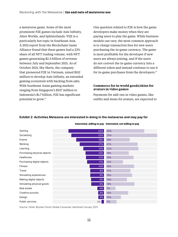a metaverse game. Some of the most prominent P2E games include Axie Infinity, Alien Worlds, and Splinterlands.11 P2E is a particularly hot topic in Southeast Asia. A 2021 report from the Blockchain Game Alliance found that these games had a 22% share of all NFT trading volume, with NFT games generating \$2.3 billion of revenue between July and September 2021. As of October 2021, Sky Mavis, the company that pioneered P2E in Vietnam, raised \$152 million to develop Axie Infinity, an extended gaming ecosystem with backing from a16z. With Southeast Asian gaming markets ranging from Singapore's \$327 million to Indonesia's \$1.7 billion, P2E has significant potential to grow.12

One question related to P2E is how the game developers make money when they are paying users to play the game. While business models can vary, the most common approach is to charge transaction fees for new users purchasing the in-game currency. The game is most profitable for the developer if new users are always joining, and if the users do not convert the in-game currency into a different token and instead continue to use it for in-game purchases from the developers.<sup>13</sup>

#### **Commerce for in-world goods/skins for avatars in video games**

Payments for add-ons in video games, like outfits and items for avatars, are expected to

| Gaming                      | 26%<br>24% |  |
|-----------------------------|------------|--|
| Socializing                 | 35%<br>22% |  |
| Events                      | 16%<br>19% |  |
| Working                     | 21%<br>17% |  |
| Learning                    | 22%<br>14% |  |
| Purchasing physical objects | 16%<br>12% |  |
| Healthcare                  | 19%<br>12% |  |
| Purchasing digital objects  | 12%<br>11% |  |
| <b>Fitness</b>              | 19%<br>10% |  |
| Travel                      | 17%<br>9%  |  |
| Simulating experiences      | 18%<br>9%  |  |
| Making digital objects      | 14%<br>9%  |  |
| Simulating physical goods   | 19%<br>9%  |  |
| Real estate                 | 7%<br>4%   |  |
| Creative pursuits           | 15%<br>4%  |  |
| Design                      | 10%<br>4%  |  |
| Public services             | 2%<br>7%   |  |

#### **Exhibit 2: Activities Metazens are interested in doing in the metaverse and may pay for**

**Interested, willing to pay Interested, not willing to pay**

Source: Oliver Wyman Forum Global Consumer Sentiment Survey 2021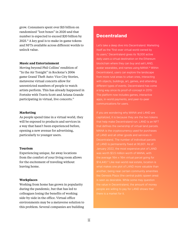grow. Consumers spent over \$15 billion on randomized "loot boxes" in 2020 and that number is expected to exceed \$20 billion by  $2025.<sup>14</sup>$  A key goal is to make in-game tokens and NFTs available across different worlds to unlock value.

#### **Music and Entertainment**

Moving beyond Phil Collins' rendition of "In the Air Tonight" in Rockstar's 2006 game Grand Theft Auto: Vice City Stories, metaverse virtual concerts allow for unrestricted numbers of people to watch artists perform. This has already happened in Fortnite with Travis Scott and Ariana Grande participating in virtual, live concerts.<sup>15</sup>

#### **Marketing**

As people spend time in a virtual world, they will be exposed to products and services in a way that hasn't been experienced before, opening a new avenue for advertising, particularly to younger users.

#### **Tourism**

Experiencing unique, far away locations from the comfort of your living room allows for the excitement of traveling without leaving home.

#### **Workplaces**

Working from home has grown in popularity during the pandemic, but that has led to colleagues losing the benefits of working side-by-side in the office. Virtual office environments may be a metaverse solution to this problem. Several companies are building

# **Decentraland**

Let's take a deep dive into Decentraland. Marketing itself as the "first-ever virtual world owned by its users," Decentraland gives its 18,000 active daily users a virtual destination on the Ethereum blockchain where they can buy and sell LAND, avatar wearables, and names using MANA.16 Within Decentraland, users can explore the landscape from more rural areas to urban ones, interacting with objects, buildings, art, games, and attending different types of events. Decentraland has come a long way since its proof-of-concept in 2015: The platform now includes games, interactive apps, in-world payments, and peer-to-peer communications for users.

If you are wondering why MANA and LAND are capitalized, it is because they are the two tokens that help make Decentraland run. LAND is an NFT that defines the ownership of virtual land parcels. MANA is the cryptocurrency used for purchases of LAND and all other goods and services in Decentraland. The number of individual parcels of LAND is permanently fixed at 90,601. As of January 2022, the most expensive plot of LAND \$14,440.17 Like real-world real estate, location is what makes one plot of LAND more valuable than is seen as desirable. While some may question the value in Decentraland, the amount of money there is a market for it.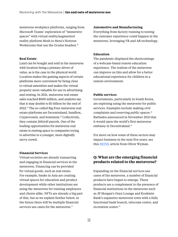metaverse workplace platforms, ranging from Microsoft Teams' exploration of "immersive spaces" with virtual reality/augmented reality platform Mesh to Meta's Horizon Workrooms that use the Oculus headset.<sup>18</sup>

#### **Real Estate**

Land can be bought and sold in the metaverse with location being a primary driver of value, as is the case in the physical world. Location makes the gaming aspects of certain platforms more convenient by being close to virtual amenities and makes the virtual property more valuable for use in advertising and renting. In 2021, metaverse real estate sales reached \$500 million, and analysts say that it may double to \$1 billion by the end of 2022.19 The so-called Big Four metaverse real estate platforms are Decentraland, Sandbox, Cryptovoxels, and Somnium.20 Collectively, they contain 268,645 parcels. One of the leading opportunities for metaverse real estate is renting space to companies trying to advertise to a younger, more digitally savvy crowd.

### **Financial Services**

Virtual societies are already transacting and engaging in financial services in the metaverse. Financing can be provided for virtual goods, such as real estate. For example, banks in Asia are creating virtual spaces for education and product development while other institutions are using the metaverse for training employees and clients alike. NFTs are already a big part of this, but as we explain further below, in the future there will be multiple financial services use cases for the metaverse.<sup>21</sup>

#### **Automotive and Manufacturing**

Everything from factory training to testing the customer experience could happen in the metaverse, leveraging VR and AR technology.

#### **Education**

The pandemic displayed the shortcomings of a webcam-based remote education experience. The realism of the metaverse can improve on this and allow for a better educational experience for children in a remote environment.

#### **Public services**

Governments, particularly in South Korea, are exploring using the metaverse for public services. Examples include making civil complaints and reserving public spaces.<sup>22</sup> Barbados announced in November 2021 that it would open the world's first metaverse embassy in Decentraland.<sup>23</sup>

For more on how some of these sectors may impact business in the next five years, see this BRINK article from Oliver Wyman.

# **Q: What are the emerging financial products related to the metaverse?**

Expanding on the financial services use cases of the metaverse, a number of financial products have begun to emerge. These products are a complement to the presence of financial institutions in the metaverse such as JP Morgan's Onyx Lounge and Kookmin Bank's expansive metaverse town with a fully functional bank branch, telecoms center, and recreation center.<sup>24</sup>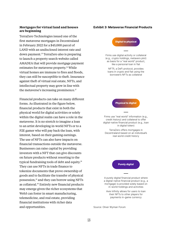#### **Mortgages for virtual land and houses are beginning**

TerraZero Technologies issued one of the first metaverse mortgages in Decentraland in February 2022 for a \$45,000 parcel of LAND with an undisclosed interest rate and down payment.<sup>25</sup> TerraZero also is preparing to launch a property search website called AMADEA that will provide mortgage payment estimates for metaverse property.<sup>26</sup> While virtual homes are immune to fires and floods, they can still be susceptible to theft. Insurance against theft of virtual real estate, NFTs, and intellectual property may grow in line with the metaverse's increasing prominence.<sup>27</sup>

Financial products can take on many different forms. As illustrated in the figure below, financial products that exist in both the physical world for digital activities or solely within the digital realm can have a role in the metaverse. It is no stretch to imagine a loan to an artist developing in-world NFTs or to a P2E gamer who will pay back the loan, with interest, based on their gaming earnings. The use of NFTs can also have impacts on financial transactions outside the metaverse. Businesses can raise capital by providing investors with a NFT that can give discounts on future products without resorting to the typical fundraising tools of debt and equity.28 They can use NFTs in trade finance to tokenize documents that prove ownership of goods and to facilitate the transfer of physical possession,29 and they can borrow using NFTs as collateral.<sup>30</sup> Entirely new financial products may emerge given the richer ecosystems that Web3 can foster in smart manufacturing, telemedicine, and real estate, providing financial institutions with richer data and opportunities.

#### **Exhibit 3: Metaverse Financial Products**



Source: Oliver Wyman Forum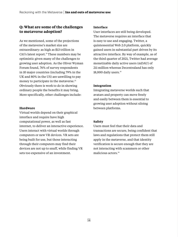# **Q: What are some of the challenges to metaverse adoption?**

As we mentioned, some of the projections of the metaverse's market size are extraordinary: as high as \$13 trillion in Citi's latest report.<sup>31</sup> These numbers may be optimistic given many of the challenges to growing user adoption. As the Oliver Wyman Forum found, 76% of survey respondents in 10 major countries (including 79% in the UK and 80% in the US) are unwilling to pay money to participate in the metaverse.<sup>32</sup> Obviously there is work to do in showing ordinary people the benefits it may bring. More specifically, other challenges include:

#### **Hardware**

Virtual worlds depend on their graphical interface and require have high computational power, as well as fast internet, to deliver an interactive experience. Users interact with virtual worlds through computers or new VR devices. VR sets are being built for use, but those interacting through their computers may find their devices are not up to snuff, while finding VR sets too expensive of an investment.

#### **Interface**

User interfaces are still being developed. The metaverse requires an interface that is easy to use and engaging. Twitter, a quintessential Web 2.0 platform, quickly gained users in substantial part driven by its attractive interface. By way of example, as of the third quarter of 2021, Twitter had average monetizable daily active users (mDAU) of 211 million whereas Decentraland has only 18,000 daily users.<sup>33</sup>

#### **Integration**

Integrating metaverse worlds such that avatars and property can move freely and easily between them is essential to growing user adoption without siloing between platforms.

### **Safety**

Users must feel that their data and transactions are secure, being confident that laws and regulations that protect them still apply in the metaverse, and that identity verification is secure enough that they are not interacting with scammers or other malicious actors.34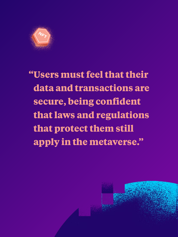

**"Users must feel that their data and transactions are secure, being confident that laws and regulations that protect them still apply in the metaverse."**

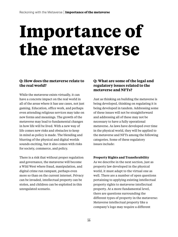# **Importance of the metaverse**

# **Q: How does the metaverse relate to the real world?**

While the metaverse exists virtually, it can have a concrete impact on the real world in all of the areas where it has use cases, not just gaming. Education, office work, and perhaps even attending religious services may take on new forms and meanings. The growth of the metaverse may lead to fundamental changes in how life will be lived. With a new way of life comes new risks and obstacles to keep in mind as policy is made. The blending and blurring of the physical and digital worlds sounds exciting, but it also comes with risks for society, commerce, and policy.

There is a risk that without proper regulation and governance, the metaverse will become a Wild West where fraud, manipulation, and digital crime run rampant, perhaps even more so than on the current internet. Privacy can be invaded, intellectual property can be stolen, and children can be exploited in this unregulated scenario.

# **Q: What are some of the legal and regulatory issues related to the metaverse and NFTs?**

Just as thinking on building the metaverse is being developed, thinking on regulating it is being developed in tandem. Addressing some of these issues will not be straightforward and addressing all of these may not be necessary to have a fully operational metaverse. As laws have developed over time in the physical world, they will be applied to the metaverse and NFTs among the following categories. Some of these regulatory issues include:

### **Property Rights and Transferability**

As we describe in the next section, just as property law developed in the physical world, it must adapt to the virtual one as well. There are a number of open questions pertaining to applying existing intellectual property rights to metaverse intellectual property. At a more fundamental level, there are questions surrounding the different types of property in the metaverse: Metaverse intellectual property like a company's logo may require a different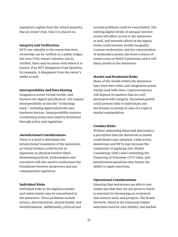regulatory regime than the virtual property, like an avatar's hat, that it is placed on.

#### **Integrity and Verification**

NFTs are valuable to the extent that their ownership can be verified on a public ledger, but even if the owner's identity can be verified, there may be issues with where it is hosted. If an NFT disappears from OpenSea, for example, it disappears from the owner's wallet as well.

#### **Interoperability and Data Sharing**

Integration across virtual worlds, and between the digital and physical, will require interoperability across the "technology stack," including digital platforms and hardware devices. Interoperability requires coordinated action and could be facilitated through policy and regulation.

#### **Jurisdictional Considerations**

There is a need to determine the jurisdictional boundaries of the metaverse, as virtual borders could be just as important as physical borders when formulating policies. Policymakers and executives will also need to understand the boundaries between metaverses and any consequential regulation.

#### **Individual Risks**

Individual risks in the digital economy and online harms may be exacerbated in the metaverse. These problems include privacy, discrimination, mental health, and misinformation. Additionally, political and

societal problems could be exacerbated. The existing digital divide of unequal internet access will affect access to the metaverse as well, and network effects in the digital realm could increase wealth inequality. Content moderation, and the concentration of moderation power, has been a source of controversy on Web2.0 platforms, and it will likely persist in the metaverse.

#### **Market and Prudential Risks**

Many of the worlds within the metaverse have their own coins, and integration across worlds (and with other cryptocurrencies) will depend on markets that are well developed with integrity. Increased growth could present risks to individuals and the broader economy in case of a crash or market manipulation.

#### **Conduct Risks**

Without addressing fraud and misconduct, a perception that the metaverse is unsafe could hinder user adoption. Links across metaverses and NFTs may increase the complexity of applying Anti-Money Laundering (AML) and Combatting the Financing of Terrorism (CFT) rules, and jurisdictional questions may hinder the ability to apply sanctions.

#### **Operational Considerations**

Ensuring that metaverses are able to stay online and that they are not prone to hacks is essential for developing an ecosystem that attracts users and prospers. The Ronin Network, which is the Ethereum-linked sidechain used for Axie Infinity, was hacked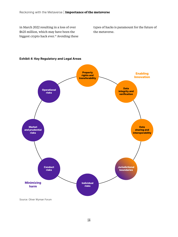in March 2022 resulting in a loss of over \$625 million, which may have been the biggest crypto hack ever.<sup>35</sup> Avoiding these types of hacks is paramount for the future of the metaverse.



#### **Exhibit 4: Key Regulatory and Legal Areas**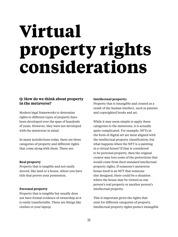# **Virtual property rights considerations**

# **Q: How do we think about property in the metaverse?**

Modern legal frameworks to determine rights to different types of property have been developed over the span of hundreds of years. However, they were not developed with the metaverse in mind.

In many jurisdictions today, there are three categories of property and different rights that come along with them. These are:

### **Real property**

Property that is tangible and not easily moved, like land or a house, where you have title that proves your possession.

#### **Personal property**

Property that is tangible but usually does not have formal evidence of ownership as it is easily transferrable. These are things like clothes or your laptop.

#### **Intellectual property:**

Property that is intangible and created as a result of the human intellect, such as patents and copyrighted books and art.

While it may seem simple to apply these categories to the metaverse, it is actually quite complicated. For example, NFTs in the form of digital art are most aligned with the intellectual property classification, but what happens when the NFT is a painting in a virtual house? If that is considered to be personal property, then the original creator may lose some of the protections that would come from their standard intellectual property rights. If someone's metaverse house itself is an NFT that someone else designed, there could be a situation where the house may be viewed as one person's real property or another person's intellectual property.

This is important given the rights that exist for different categories of property. Intellectual property rights protect intangible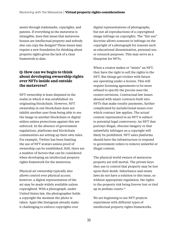assets through trademarks, copyrights, and patents. If everything in the metaverse is intangible, does that mean that metaverse houses are intellectual property and nobody else can copy the designs? These issues may require a new foundation for thinking about property rights given the lack of a clear framework to date.

# **Q: How can we begin to think about developing ownership rights over NFTs inside and outside the metaverse?**

NFT ownership is least disputed in the realm in which it was established: its originating blockchain. However, NFT ownership in one blockchain does not inhibit another user from being able to see the image in another blockchain or digital milieu unless protections against this are enforced. In the absence of government regulations, platforms and blockchain communities are setting up their own rules. For example, Twitter has been limiting the use of NFT avatars unless proof of ownership can be established. Still, there are a number of factors that can be considered when developing an intellectual property rights framework for the metaverse.

Physical art ownership typically also allows control over physical access; however, a digital representation of the art may be made widely available unless copyrighted. With a photograph, under United States law, the photographer holds a copyright the moment the photo is taken. Apps like Instagram already make it challenging to enforce copyrights over

digital representations of photographs, but not all reproductions of a copyrighted image infringe on copyrights. The "fair use" doctrine allows someone to infringe on the copyright of a photograph for reasons such as educational dissemination, personal use, or research purposes. This may serve as a blueprint for NFTs.

When a creator makes or "mints" an NFT, they have the right to sell the rights to the NFT. But things get trickier with future use operating under a license. This will require licensing agreements to be more refined to specify the precise uses the creator envisions. Contractual law issues abound with smart contracts built into NFTs that make royalty payments, further complicated by jurisdictional issues over which contract law applies. The actual content represented in an NFT is subject to potential legal controversy: An NFT that portrays illegal, obscene imagery or that unlawfully infringes on a copyright will likely be prohibited. NFT sales platforms should have the infrastructure to respond to government orders to remove unlawful or illegal content.

The physical world owners of metaverse property are still mortal. The private keys they use to control that property may be lost upon their death. Inheritance and estate laws do not have a solution to this issue, so without appropriate regulation, the rights to the property risk being forever lost or tied up in probate courts.<sup>36</sup>

We are beginning to see NFT projects experiment with different types of intellectual property rights frameworks.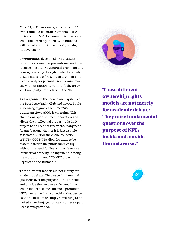*Bored Ape Yacht Club* grants every NFT owner intellectual property rights to use their specific NFT for commercial purposes while the Bored Ape Yacht Club brand is still owned and controlled by Yuga Labs, its developer.<sup>37</sup>

*CryptoPunks,* developed by LarvaLabs, calls for a system that prevents owners from repurposing their CryptoPunks NFTs for any reason, reserving the right to do that solely to LarvaLabs itself. Users can use their NFT License only for personal, non-commercial use without the ability to modify the art or sell third-party products with the NFT.<sup>38</sup>

As a response to the more closed systems of the Bored Ape Yacht Club and CryptoPunks, a licensing regime called *Creative Commons Zero (CC0)* is emerging. This champions open-sourced innovation and allows the intellectual property of a CC0 project to be used for free without any need for attribution, whether it is just a single associated NFT or the entire collection of NFTs. CC0 NFTs allow for them to be disseminated to the public more easily without the need for licensing or fears over intellectual property infringement. Among the most prominent CC0 NFT projects are CrypToadz and Blitmap.39

These different models are not merely for academic debate: They raise fundamental questions over the purpose of NFTs inside and outside the metaverse. Depending on which model becomes the most prominent, NFTs can range from something that can be used and built on or simply something to be looked at and enjoyed privately unless a paid license was provided.



**"These different ownership rights models are not merely for academic debate: They raise fundamental questions over the purpose of NFTs inside and outside the metaverse."**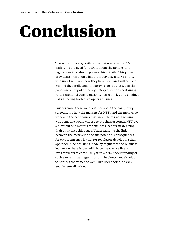# **Conclusion**

The astronomical growth of the metaverse and NFTs highlights the need for debate about the policies and regulations that should govern this activity. This paper provides a primer on what the metaverse and NFTs are, who uses them, and how they have been and will be used. Beyond the intellectual property issues addressed in this paper are a bevy of other regulatory questions pertaining to jurisdictional considerations, market risks, and conduct risks affecting both developers and users.

Furthermore, there are questions about the complexity surrounding how the markets for NFTs and the metaverse work and the economics that make them run. Knowing why someone would choose to purchase a certain NFT over a different one matters for business leaders strategizing their entry into this space. Understanding the link between the metaverse and the potential consequences for cryptocurrency is vital for regulators developing their approach. The decisions made by regulators and business leaders on these issues will shape the way we live our lives for years to come. Only with a firm understanding of such elements can regulation and business models adapt to harness the values of Web3 like user choice, privacy, and decentralization.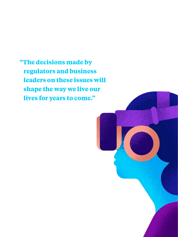**"The decisions made by regulators and business leaders on these issues will shape the way we live our lives for years to come."**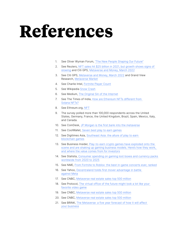# **References**

- 1. See Oliver Wyman Forum, "The New People Shaping Our Future"
- 2. See Reuters, NFT sales hit \$25 billion in 2021, but growth shows signs of slowing and Citi GPS, Metaverse and Money, March 2022
- 3. See Citi GPS, Metaverse and Money, March 2022 and Grand View Research, Metaverse Market
- 4. See Charlie Intel, Fortnite Player Count
- 5. See Wikipedia Snow Crash
- 6. See Medium, The Original Sin of the Internet
- 7. See The Times of India, How are Ethereum NFTs different from Solana NFTs?
- 8. See Ethreum.org, NFT
- 9. The survey polled more than 100,000 respondents across the United States, Germany, France, the United Kingdom, Brazil, Spain, Mexico, Italy, and Canada.
- 10. See CoinDesk, JP Morgan is the first bank into the metaverse
- 11. See CoolWallet, Seven best play to earn games
- 12. See Digitimes Asia, Southeast Asia: the allure of play to earn blockchain games
- 13. See Business Insider, Play-to-earn crypto games have exploded onto the scene and are shaking up gaming business models. Here's how they work, and where the value comes from for investors
- 14. See Statista, Consumer spending on gaming loot boxes and currency packs worldwide from 2020 to 2025
- 15. See NME, From Fortnite to Roblox: the best in-game concerts ever, ranked
- 16. See Yahoo, Decentraland holds first mover advantage in battle against Meta
- 17. See CNBC, Metaverse real estate sales top 500 million
- 18. See Protocol, The virtual office of the future might look a lot like your favorite video game
- 19. See CNBC, Metaverse real estate sales top 500 million
- 20. See CNBC, Metaverse real estate sales top 500 million
- 21. See BRINK, The Metaverse: a five year forecast of how it will affect your business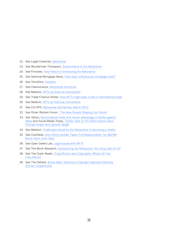- 22. See Legal Creatives, Metaverse
- 23. See Wunderman Thompson, Governments in the Metaverse
- 24. See Finovate, How fintech is embracing the Metaverse
- 25. See National Mortgage News, How does a Metaverse mortgage work?
- 26. See TerraZero, Amadea
- 27. See Clearsurance, Metaverse Insurance
- 28. See Medium, NFTs as financial instruments
- 29. See Trade Finance Global, How NFTs might play a role in international trade
- 30. See Medium, NFTs as financial instruments
- 31. See Citi GPS, Metaverse and Money, March 2022
- 32. See Oliver Wyman Forum, "The New People Shaping Our Future"
- 33. See Yahoo, Decentraland holds first mover advantage in battle against Meta and Social Media Today, Twitter rises to 211 million active users through longer term growth target
- 34. See Medium, Challenges faced by the Metaverse in becoming a reality
- 35. See CoinDesk, Axie Infinity Builder Takes 'Full Responsibility' for \$625M Ronin Hack, Exec Says
- 36. See Open Geeks Lab, Legal Issues with NFTs
- 37. See The Block Research, Deciphering the Metaverse: the rising tide of cc0
- 38. See The Outer Realm, CryptoPunks and Copyrights: What's All The Fuss About?
- 39. See The Defiant, Bored Apes' Generous Copyright Approach Besting Stricter CryptoPunks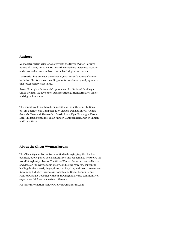#### **Authors**

Michael Gurock is a Senior Analyst with the Oliver Wyman Forum's Future of Money initiative. He leads the initiative's metaverse research and also conducts research on central bank digital currencies.

Larissa de Lima co-leads the Oliver Wyman Forum's Future of Money initiative. She focuses on enabling new forms of money and payments that foster society wide value.

Jason Ekberg is a Partner of Corporate and Institutional Banking at Oliver Wyman. He advises on business strategy, transformation topics and digital innovation.

This report would not have been possible without the contributions of Tom Buerkle, Neil Campbell, Rick Chavez, Douglas Elliott, Alenka Grealish, Shamarah Hernandez, Dustin Irwin, Ugur Koyluoglu, Karen Lara, Filidausi Mbatudde, Jilian Mincer, Campbell Reid, Adrien Slimani, and Lucia Uribe.

#### **About the Oliver Wyman Forum**

The Oliver Wyman Forum is committed to bringing together leaders in business, public policy, social enterprises, and academia to help solve the world's toughest problems. The Oliver Wyman Forum strives to discover and develop innovative solutions by conducting research, convening leading thinkers, analyzing options, and inspiring action on three fronts: Reframing Industry, Business in Society, and Global Economic and Political Change. Together with our growing and diverse community of experts, we think we can make a difference.

For more information, visit www.oliverwymanforum.com